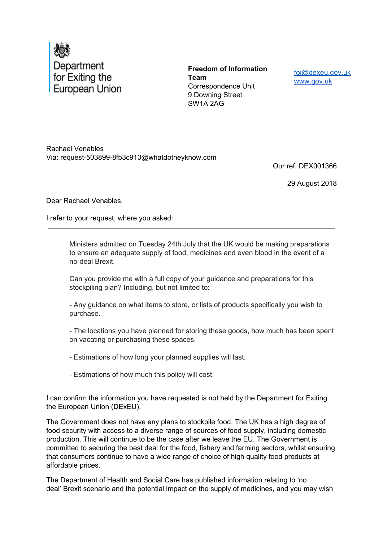

**Freedom of Information Team** Correspondence Unit 9 Downing Street SW1A 2AG

foi@dexeu.gov.uk www.gov.uk

Rachael Venables Via: request-503899-8fb3c913@whatdotheyknow.com

Our ref: DEX001366

29 August 2018

Dear Rachael Venables,

I refer to your request, where you asked:

Ministers admitted on Tuesday 24th July that the UK would be making preparations to ensure an adequate supply of food, medicines and even blood in the event of a no-deal Brexit.

Can you provide me with a full copy of your guidance and preparations for this stockpiling plan? Including, but not limited to:

- Any guidance on what items to store, or lists of products specifically you wish to purchase.

- The locations you have planned for storing these goods, how much has been spent on vacating or purchasing these spaces.

- Estimations of how long your planned supplies will last.

- Estimations of how much this policy will cost.

I can confirm the information you have requested is not held by the Department for Exiting the European Union (DExEU).

The Government does not have any plans to stockpile food. The UK has a high degree of food security with access to a diverse range of sources of food supply, including domestic production. This will continue to be the case after we leave the EU. The Government is committed to securing the best deal for the food, fishery and farming sectors, whilst ensuring that consumers continue to have a wide range of choice of high quality food products at affordable prices.

The Department of Health and Social Care has published information relating to 'no deal' Brexit scenario and the potential impact on the supply of medicines, and you may wish